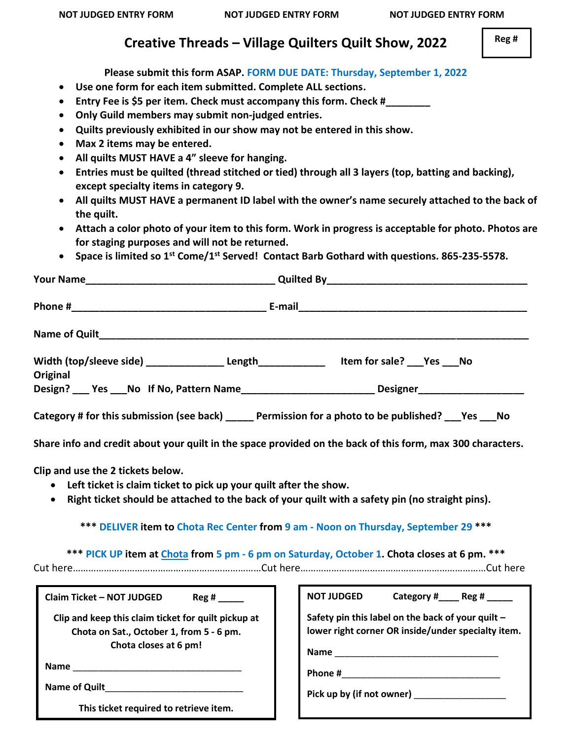## **Creative Threads – Village Quilters Quilt Show, 2022**

**Please submit this form ASAP. FORM DUE DATE: Thursday, September 1, 2022**

• **Use one form for each item submitted. Complete ALL sections.**

• **Entry Fee is \$5 per item. Check must accompany this form. Check #\_\_\_\_\_\_\_\_** • **Only Guild members may submit non-judged entries.** • **Quilts previously exhibited in our show may not be entered in this show.** • **Max 2 items may be entered.** • **All quilts MUST HAVE a 4" sleeve for hanging.** • **Entries must be quilted (thread stitched or tied) through all 3 layers (top, batting and backing), except specialty items in category 9.** • **All quilts MUST HAVE a permanent ID label with the owner's name securely attached to the back of the quilt.**  • **Attach a color photo of your item to this form. Work in progress is acceptable for photo. Photos are for staging purposes and will not be returned.**  • **Space is limited so 1st Come/1 st Served! Contact Barb Gothard with questions. 865-235-5578. Your Name Note a set of the set of the Security Constant Ouilted By a set of the set of the set of the set of the set of the set of the set of the set of the set of the set of the set of the set of the set of the set of Phone #\_\_\_\_\_\_\_\_\_\_\_\_\_\_\_\_\_\_\_\_\_\_\_\_\_\_\_\_\_\_\_\_\_\_\_ E-mail\_\_\_\_\_\_\_\_\_\_\_\_\_\_\_\_\_\_\_\_\_\_\_\_\_\_\_\_\_\_\_\_\_\_\_\_\_\_\_\_\_ Name of Quilt** Width (top/sleeve side) **Length Length Example 11 Length Example 2** Length **EXALL Original** Design? \_\_\_ Yes \_\_\_ No If No, Pattern Name \_\_\_\_\_\_\_\_\_\_\_\_\_\_\_\_\_\_\_\_\_\_\_\_\_\_\_Designer \_\_\_\_\_\_\_\_\_\_\_\_\_\_\_\_\_\_\_\_\_ **Category # for this submission (see back) \_\_\_\_\_ Permission for a photo to be published? \_\_\_Yes \_\_\_No Share info and credit about your quilt in the space provided on the back of this form, max 300 characters. Clip and use the 2 tickets below.** • **Left ticket is claim ticket to pick up your quilt after the show.** • **Right ticket should be attached to the back of your quilt with a safety pin (no straight pins). \*\*\* DELIVER item to Chota Rec Center from 9 am - Noon on Thursday, September 29 \*\*\* \*\*\* PICK UP item at Chota from 5 pm - 6 pm on Saturday, October 1. Chota closes at 6 pm. \*\*\*** Cut here…………………………………….…………………………Cut here………………………………………………………………Cut here **Claim Ticket – NOT JUDGED Reg # \_\_\_\_\_ Clip and keep this claim ticket for quilt pickup at Chota on Sat., October 1, from 5 - 6 pm. Chota closes at 6 pm! Name** \_\_\_\_\_\_\_\_\_\_\_\_\_\_\_\_\_\_\_\_\_\_\_\_\_\_\_\_\_\_\_\_\_ Name of Quilt **This ticket required to retrieve item. NOT JUDGED Category #\_\_\_\_ Reg # \_\_\_\_\_ Safety pin this label on the back of your quilt – lower right corner OR inside/under specialty item. Name** \_\_\_\_\_\_\_\_\_\_\_\_\_\_\_\_\_\_\_\_\_\_\_\_\_\_\_\_\_\_\_\_ **Phone #**\_\_\_\_\_\_\_\_\_\_\_\_\_\_\_\_\_\_\_\_\_\_\_\_\_\_\_\_\_\_\_ Pick up by (if not owner) **with all of the set of the set of the set of the set of the set of the set of the set of the set of the set of the set of the set of the set of the set of the set of the set of the set of the set** 

 **Reg #**